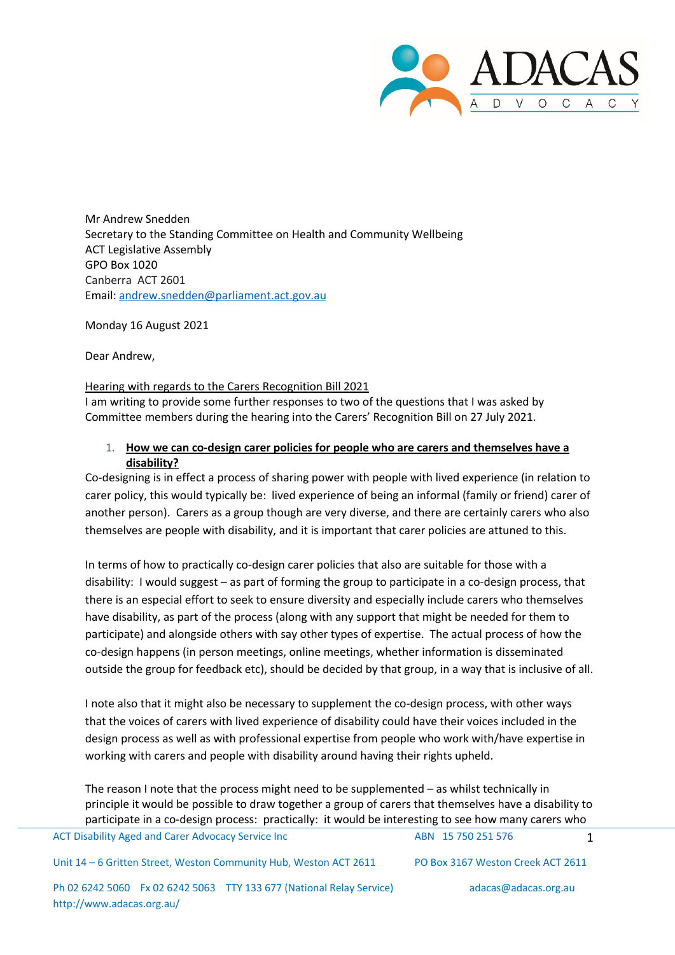

Mr Andrew Snedden Secretary to the Standing Committee on Health and Community Wellbeing ACT Legislative Assembly GPO Box 1020 Canberra ACT 2601 Email: andrew.snedden@parliament.act.gov.au

Monday 16 August 2021

Dear Andrew,

## Hearing with regards to the Carers Recognition Bill 2021

I am writing to provide some further responses to two of the questions that I was asked by Committee members during the hearing into the Carers' Recognition Bill on 27 July 2021.

## 1. **How we can co-design carer policies for people who are carers and themselves have a disability?**

Co-designing is in effect a process of sharing power with people with lived experience (in relation to carer policy, this would typically be: lived experience of being an informal (family or friend) carer of another person). Carers as a group though are very diverse, and there are certainly carers who also themselves are people with disability, and it is important that carer policies are attuned to this.

In terms of how to practically co-design carer policies that also are suitable for those with a disability: I would suggest – as part of forming the group to participate in a co-design process, that there is an especial effort to seek to ensure diversity and especially include carers who themselves have disability, as part of the process (along with any support that might be needed for them to participate) and alongside others with say other types of expertise. The actual process of how the co-design happens (in person meetings, online meetings, whether information is disseminated outside the group for feedback etc), should be decided by that group, in a way that is inclusive of all.

I note also that it might also be necessary to supplement the co-design process, with other ways that the voices of carers with lived experience of disability could have their voices included in the design process as well as with professional expertise from people who work with/have expertise in working with carers and people with disability around having their rights upheld.

The reason I note that the process might need to be supplemented – as whilst technically in principle it would be possible to draw together a group of carers that themselves have a disability to participate in a co-design process: practically: it would be interesting to see how many carers who

| ACT Disability Aged and Carer Advocacy Service Inc                | ABN 15 750 251 576                |  |
|-------------------------------------------------------------------|-----------------------------------|--|
| Unit 14 – 6 Gritten Street, Weston Community Hub, Weston ACT 2611 | PO Box 3167 Weston Creek ACT 2611 |  |